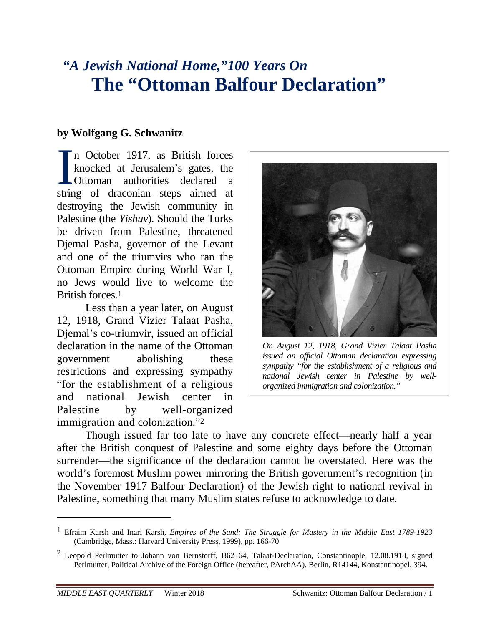# *"A Jewish National Home,"100 Years On*  **The "Ottoman Balfour Declaration"**

## **by Wolfgang G. Schwanitz**

n October 1917, as British forces knocked at Jerusalem's gates, the Ottoman authorities declared a string of draconian steps aimed at destroying the Jewish community in Palestine (the *Yishuv*). Should the Turks be driven from Palestine, threatened Djemal Pasha, governor of the Levant and one of the triumvirs who ran the Ottoman Empire during World War I, no Jews would live to welcome the British forces.1 I<br><sub>Strir</sub>

Less than a year later, on August 12, 1918, Grand Vizier Talaat Pasha, Djemal's co-triumvir, issued an official declaration in the name of the Ottoman government abolishing these restrictions and expressing sympathy "for the establishment of a religious and national Jewish center in Palestine by well-organized immigration and colonization."2



*On August 12, 1918, Grand Vizier Talaat Pasha issued an official Ottoman declaration expressing sympathy "for the establishment of a religious and national Jewish center in Palestine by wellorganized immigration and colonization."*

Though issued far too late to have any concrete effect—nearly half a year after the British conquest of Palestine and some eighty days before the Ottoman surrender—the significance of the declaration cannot be overstated. Here was the world's foremost Muslim power mirroring the British government's recognition (in the November 1917 Balfour Declaration) of the Jewish right to national revival in Palestine, something that many Muslim states refuse to acknowledge to date.

<sup>1</sup> Efraim Karsh and Inari Karsh, *Empires of the Sand: The Struggle for Mastery in the Middle East 1789-1923* (Cambridge, Mass.: Harvard University Press, 1999), pp. 166-70.

<sup>&</sup>lt;sup>2</sup> Leopold Perlmutter to Johann von Bernstorff, B62–64, Talaat-Declaration, Constantinople, 12.08.1918, signed Perlmutter, Political Archive of the Foreign Office (hereafter, PArchAA), Berlin, R14144, Konstantinopel, 394.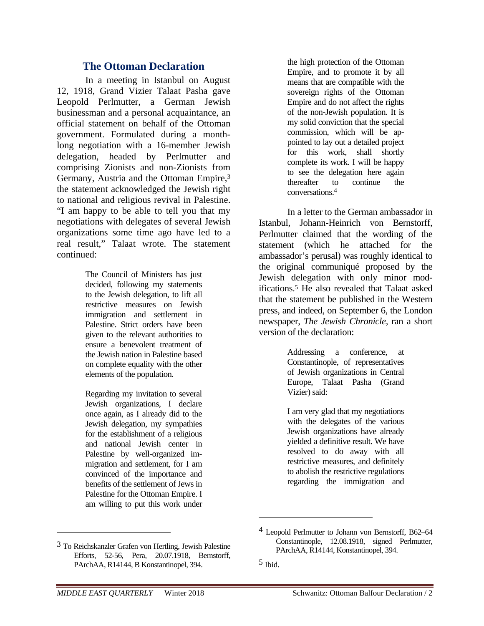## **The Ottoman Declaration**

In a meeting in Istanbul on August 12, 1918, Grand Vizier Talaat Pasha gave Leopold Perlmutter, a German Jewish businessman and a personal acquaintance, an official statement on behalf of the Ottoman government. Formulated during a monthlong negotiation with a 16-member Jewish delegation, headed by Perlmutter and comprising Zionists and non-Zionists from Germany, Austria and the Ottoman Empire,3 the statement acknowledged the Jewish right to national and religious revival in Palestine. "I am happy to be able to tell you that my negotiations with delegates of several Jewish organizations some time ago have led to a real result," Talaat wrote. The statement continued:

> The Council of Ministers has just decided, following my statements to the Jewish delegation, to lift all restrictive measures on Jewish immigration and settlement in Palestine. Strict orders have been given to the relevant authorities to ensure a benevolent treatment of the Jewish nation in Palestine based on complete equality with the other elements of the population.

> Regarding my invitation to several Jewish organizations, I declare once again, as I already did to the Jewish delegation, my sympathies for the establishment of a religious and national Jewish center in Palestine by well-organized immigration and settlement, for I am convinced of the importance and benefits of the settlement of Jews in Palestine for the Ottoman Empire. I am willing to put this work under

the high protection of the Ottoman Empire, and to promote it by all means that are compatible with the sovereign rights of the Ottoman Empire and do not affect the rights of the non-Jewish population. It is my solid conviction that the special commission, which will be appointed to lay out a detailed project for this work, shall shortly complete its work. I will be happy to see the delegation here again thereafter to continue the conversations.4

In a letter to the German ambassador in Istanbul, Johann-Heinrich von Bernstorff, Perlmutter claimed that the wording of the statement (which he attached for the ambassador's perusal) was roughly identical to the original communiqué proposed by the Jewish delegation with only minor modifications.5 He also revealed that Talaat asked that the statement be published in the Western press, and indeed, on September 6, the London newspaper, *The Jewish Chronicle,* ran a short version of the declaration:

> Addressing a conference, at Constantinople, of representatives of Jewish organizations in Central Europe, Talaat Pasha (Grand Vizier) said:

> I am very glad that my negotiations with the delegates of the various Jewish organizations have already yielded a definitive result. We have resolved to do away with all restrictive measures, and definitely to abolish the restrictive regulations regarding the immigration and

 $\overline{a}$ 

<sup>3</sup> To Reichskanzler Grafen von Hertling, Jewish Palestine Efforts, 52-56, Pera, 20.07.1918, Bernstorff, PArchAA, R14144, B Konstantinopel, 394.

<sup>4</sup> Leopold Perlmutter to Johann von Bernstorff, B62–64 Constantinople, 12.08.1918, signed Perlmutter, PArchAA, R14144, Konstantinopel, 394.

<sup>5</sup> Ibid.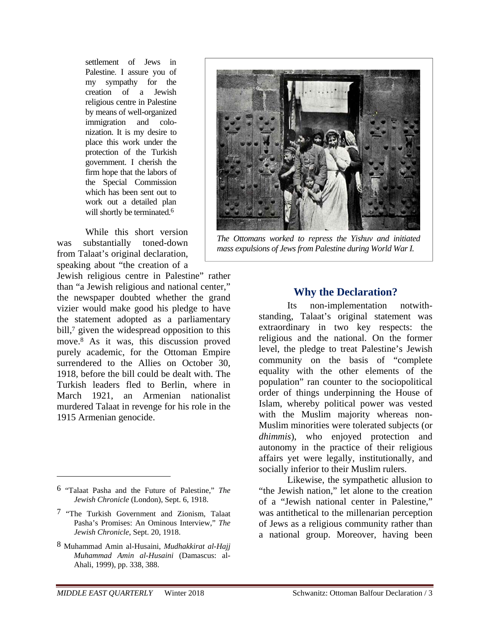settlement of Jews in Palestine. I assure you of my sympathy for the creation of a Jewish religious centre in Palestine by means of well-organized immigration and colonization. It is my desire to place this work under the protection of the Turkish government. I cherish the firm hope that the labors of the Special Commission which has been sent out to work out a detailed plan will shortly be terminated.<sup>6</sup>

While this short version was substantially toned-down from Talaat's original declaration, speaking about "the creation of a

Jewish religious centre in Palestine" rather than "a Jewish religious and national center," the newspaper doubted whether the grand vizier would make good his pledge to have the statement adopted as a parliamentary bill,<sup>7</sup> given the widespread opposition to this move.8 As it was, this discussion proved purely academic, for the Ottoman Empire surrendered to the Allies on October 30, 1918, before the bill could be dealt with. The Turkish leaders fled to Berlin, where in March 1921, an Armenian nationalist murdered Talaat in revenge for his role in the 1915 Armenian genocide.

 $\overline{a}$ 

8 Muhammad Amin al-Husaini, *Mudhakkirat al-Hajj Muhammad Amin al-Husaini* (Damascus: al-Ahali, 1999), pp. 338, 388.



*The Ottomans worked to repress the Yishuv and initiated mass expulsions of Jews from Palestine during World War I.*

#### **Why the Declaration?**

Its non-implementation notwithstanding, Talaat's original statement was extraordinary in two key respects: the religious and the national. On the former level, the pledge to treat Palestine's Jewish community on the basis of "complete equality with the other elements of the population" ran counter to the sociopolitical order of things underpinning the House of Islam, whereby political power was vested with the Muslim majority whereas non-Muslim minorities were tolerated subjects (or *dhimmis*), who enjoyed protection and autonomy in the practice of their religious affairs yet were legally, institutionally, and socially inferior to their Muslim rulers.

Likewise, the sympathetic allusion to "the Jewish nation," let alone to the creation of a "Jewish national center in Palestine," was antithetical to the millenarian perception of Jews as a religious community rather than a national group. Moreover, having been

<sup>6 &</sup>quot;Talaat Pasha and the Future of Palestine," *The Jewish Chronicle* (London), Sept. 6, 1918.

<sup>7 &</sup>quot;The Turkish Government and Zionism, Talaat Pasha's Promises: An Ominous Interview," *The Jewish Chronicle*, Sept. 20, 1918.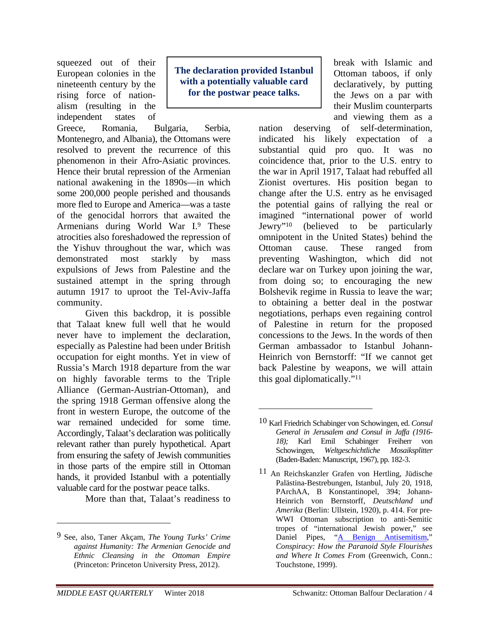squeezed out of their European colonies in the nineteenth century by the rising force of nationalism (resulting in the independent states of

Greece, Romania, Bulgaria, Serbia, Montenegro, and Albania), the Ottomans were resolved to prevent the recurrence of this phenomenon in their Afro-Asiatic provinces. Hence their brutal repression of the Armenian national awakening in the 1890s—in which some 200,000 people perished and thousands more fled to Europe and America—was a taste of the genocidal horrors that awaited the Armenians during World War I.9 These atrocities also foreshadowed the repression of the Yishuv throughout the war, which was demonstrated most starkly by mass expulsions of Jews from Palestine and the sustained attempt in the spring through autumn 1917 to uproot the Tel-Aviv-Jaffa community.

Given this backdrop, it is possible that Talaat knew full well that he would never have to implement the declaration, especially as Palestine had been under British occupation for eight months. Yet in view of Russia's March 1918 departure from the war on highly favorable terms to the Triple Alliance (German-Austrian-Ottoman), and the spring 1918 German offensive along the front in western Europe, the outcome of the war remained undecided for some time. Accordingly, Talaat's declaration was politically relevant rather than purely hypothetical. Apart from ensuring the safety of Jewish communities in those parts of the empire still in Ottoman hands, it provided Istanbul with a potentially valuable card for the postwar peace talks.

More than that, Talaat's readiness to

**The declaration provided Istanbul with a potentially valuable card for the postwar peace talks.** 

 $\overline{a}$ 

break with Islamic and Ottoman taboos, if only declaratively, by putting the Jews on a par with their Muslim counterparts and viewing them as a

nation deserving of self-determination, indicated his likely expectation of a substantial quid pro quo. It was no coincidence that, prior to the U.S. entry to the war in April 1917, Talaat had rebuffed all Zionist overtures. His position began to change after the U.S. entry as he envisaged the potential gains of rallying the real or imagined "international power of world Jewry"10 (believed to be particularly omnipotent in the United States) behind the Ottoman cause. These ranged from preventing Washington, which did not declare war on Turkey upon joining the war, from doing so; to encouraging the new Bolshevik regime in Russia to leave the war; to obtaining a better deal in the postwar negotiations, perhaps even regaining control of Palestine in return for the proposed concessions to the Jews. In the words of then German ambassador to Istanbul Johann-Heinrich von Bernstorff: "If we cannot get back Palestine by weapons, we will attain this goal diplomatically."11

1

<sup>9</sup> See, also, Taner Akçam, *The Young Turks' Crime against Humanity: The Armenian Genocide and Ethnic Cleansing in the Ottoman Empire*  (Princeton: Princeton University Press, 2012).

<sup>10</sup> Karl Friedrich Schabinger von Schowingen, ed. *Consul General in Jerusalem and Consul in Jaffa (1916- 18);* Karl Emil Schabinger Freiherr von Schowingen, *Weltgeschichtliche Mosaiksplitter* (Baden-Baden: Manuscript, 1967), pp. 182-3.

<sup>&</sup>lt;sup>11</sup> An Reichskanzler Grafen von Hertling, Jüdische Palästina-Bestrebungen, Istanbul, July 20, 1918, PArchAA, B Konstantinopel, 394; Johann-Heinrich von Bernstorff, *Deutschland und Amerika* (Berlin: Ullstein, 1920), p. 414. For pre-WWI Ottoman subscription to anti-Semitic tropes of "international Jewish power," see Daniel Pipes, "A Benign Antisemitism," *Conspiracy: How the Paranoid Style Flourishes and Where It Comes From* (Greenwich, Conn.: Touchstone, 1999).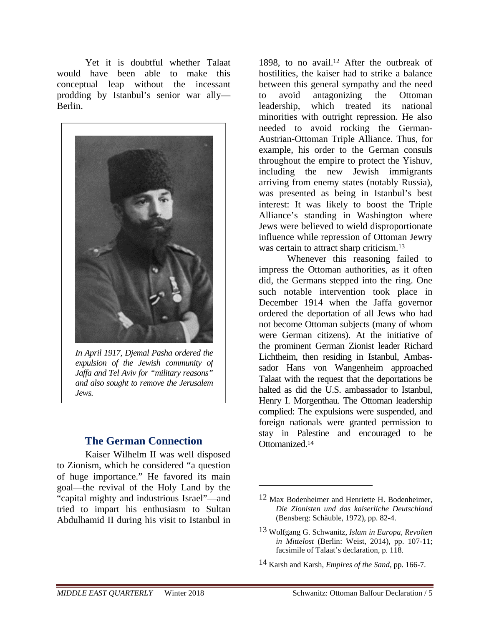Yet it is doubtful whether Talaat would have been able to make this conceptual leap without the incessant prodding by Istanbul's senior war ally— Berlin.



*In April 1917, Djemal Pasha ordered the expulsion of the Jewish community of Jaffa and Tel Aviv for "military reasons" and also sought to remove the Jerusalem Jews.* 

## **The German Connection**

Kaiser Wilhelm II was well disposed to Zionism, which he considered "a question of huge importance." He favored its main goal—the revival of the Holy Land by the "capital mighty and industrious Israel"—and tried to impart his enthusiasm to Sultan Abdulhamid II during his visit to Istanbul in

1898, to no avail.12 After the outbreak of hostilities, the kaiser had to strike a balance between this general sympathy and the need to avoid antagonizing the Ottoman leadership, which treated its national minorities with outright repression. He also needed to avoid rocking the German-Austrian-Ottoman Triple Alliance. Thus, for example, his order to the German consuls throughout the empire to protect the Yishuv, including the new Jewish immigrants arriving from enemy states (notably Russia), was presented as being in Istanbul's best interest: It was likely to boost the Triple Alliance's standing in Washington where Jews were believed to wield disproportionate influence while repression of Ottoman Jewry was certain to attract sharp criticism.<sup>13</sup>

Whenever this reasoning failed to impress the Ottoman authorities, as it often did, the Germans stepped into the ring. One such notable intervention took place in December 1914 when the Jaffa governor ordered the deportation of all Jews who had not become Ottoman subjects (many of whom were German citizens). At the initiative of the prominent German Zionist leader Richard Lichtheim, then residing in Istanbul, Ambassador Hans von Wangenheim approached Talaat with the request that the deportations be halted as did the U.S. ambassador to Istanbul, Henry I. Morgenthau. The Ottoman leadership complied: The expulsions were suspended, and foreign nationals were granted permission to stay in Palestine and encouraged to be Ottomanized.14

 $\overline{a}$ 

14 Karsh and Karsh, *Empires of the Sand*, pp. 166-7.

<sup>12</sup> Max Bodenheimer and Henriette H. Bodenheimer, *Die Zionisten und das kaiserliche Deutschland* (Bensberg: Schäuble, 1972), pp. 82-4.

<sup>13</sup> Wolfgang G. Schwanitz, *Islam in Europa, Revolten in Mittelost* (Berlin: Weist, 2014), pp. 107-11; facsimile of Talaat's declaration, p. 118.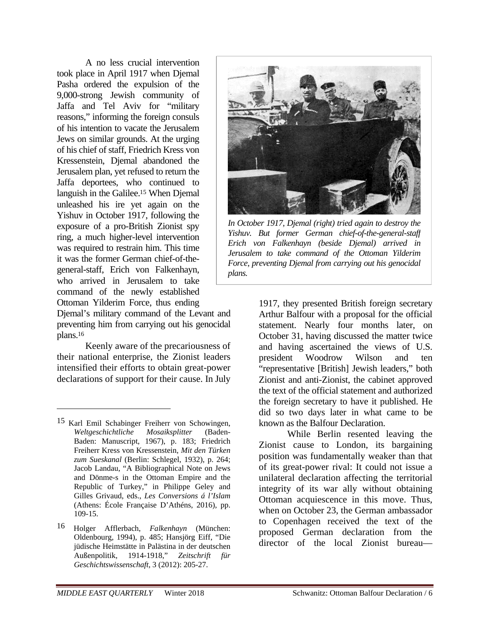A no less crucial intervention took place in April 1917 when Djemal Pasha ordered the expulsion of the 9,000-strong Jewish community of Jaffa and Tel Aviv for "military reasons," informing the foreign consuls of his intention to vacate the Jerusalem Jews on similar grounds. At the urging of his chief of staff, Friedrich Kress von Kressenstein, Djemal abandoned the Jerusalem plan, yet refused to return the Jaffa deportees, who continued to languish in the Galilee.15 When Djemal unleashed his ire yet again on the Yishuv in October 1917, following the exposure of a pro-British Zionist spy ring, a much higher-level intervention was required to restrain him. This time it was the former German chief-of-thegeneral-staff, Erich von Falkenhayn, who arrived in Jerusalem to take command of the newly established Ottoman Yilderim Force, thus ending

Djemal's military command of the Levant and preventing him from carrying out his genocidal plans.16

Keenly aware of the precariousness of their national enterprise, the Zionist leaders intensified their efforts to obtain great-power declarations of support for their cause. In July

 $\overline{a}$ 



*In October 1917, Djemal (right) tried again to destroy the Yishuv. But former German chief-of-the-general-staff Erich von Falkenhayn (beside Djemal) arrived in Jerusalem to take command of the Ottoman Yilderim Force, preventing Djemal from carrying out his genocidal plans.*

1917, they presented British foreign secretary Arthur Balfour with a proposal for the official statement. Nearly four months later, on October 31, having discussed the matter twice and having ascertained the views of U.S. president Woodrow Wilson and ten "representative [British] Jewish leaders," both Zionist and anti-Zionist, the cabinet approved the text of the official statement and authorized the foreign secretary to have it published. He did so two days later in what came to be known as the Balfour Declaration.

While Berlin resented leaving the Zionist cause to London, its bargaining position was fundamentally weaker than that of its great-power rival: It could not issue a unilateral declaration affecting the territorial integrity of its war ally without obtaining Ottoman acquiescence in this move. Thus, when on October 23, the German ambassador to Copenhagen received the text of the proposed German declaration from the director of the local Zionist bureau—

<sup>15</sup> Karl Emil Schabinger Freiherr von Schowingen, *Weltgeschichtliche Mosaiksplitter* (Baden-Baden: Manuscript, 1967), p. 183; Friedrich Freiherr Kress von Kressenstein, *Mit den Türken zum Sueskanal* (Berlin: Schlegel, 1932), p. 264; Jacob Landau, "A Bibliographical Note on Jews and Dönme-s in the Ottoman Empire and the Republic of Turkey," in Philippe Geley and Gilles Grivaud, eds., *Les Conversions á l'Islam* (Athens: École Française D'Athéns, 2016), pp. 109-15.

<sup>16</sup> Holger Afflerbach, *Falkenhayn* (München: Oldenbourg, 1994), p. 485; Hansjörg Eiff, "Die jüdische Heimstätte in Palästina in der deutschen Außenpolitik, 1914-1918," *Zeitschrift für Geschichtswissenschaft*, 3 (2012): 205-27.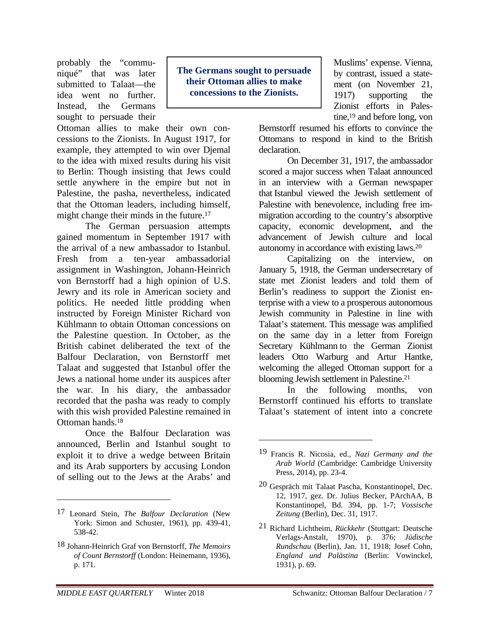probably the "communiqué" that was later submitted to Talaat—the idea went no further. Instead, the Germans sought to persuade their

Ottoman allies to make their own concessions to the Zionists. In August 1917, for example, they attempted to win over Djemal to the idea with mixed results during his visit to Berlin: Though insisting that Jews could settle anywhere in the empire but not in Palestine, the pasha, nevertheless, indicated that the Ottoman leaders, including himself, might change their minds in the future.<sup>17</sup>

The German persuasion attempts gained momentum in September 1917 with the arrival of a new ambassador to Istanbul. Fresh from a ten-year ambassadorial assignment in Washington, Johann-Heinrich von Bernstorff had a high opinion of U.S. Jewry and its role in American society and politics. He needed little prodding when instructed by Foreign Minister Richard von Kühlmann to obtain Ottoman concessions on the Palestine question. In October, as the British cabinet deliberated the text of the Balfour Declaration, von Bernstorff met Talaat and suggested that Istanbul offer the Jews a national home under its auspices after the war. In his diary, the ambassador recorded that the pasha was ready to comply with this wish provided Palestine remained in Ottoman hands.18

Once the Balfour Declaration was announced, Berlin and Istanbul sought to exploit it to drive a wedge between Britain and its Arab supporters by accusing London of selling out to the Jews at the Arabs' and

**The Germans sought to persuade their Ottoman allies to make concessions to the Zionists.** 

 $\overline{a}$ 

Muslims' expense. Vienna, by contrast, issued a statement (on November 21, 1917) supporting the Zionist efforts in Palestine,<sup>19</sup> and before long, von

Bernstorff resumed his efforts to convince the Ottomans to respond in kind to the British declaration.

On December 31, 1917, the ambassador scored a major success when Talaat announced in an interview with a German newspaper that Istanbul viewed the Jewish settlement of Palestine with benevolence, including free immigration according to the country's absorptive capacity, economic development, and the advancement of Jewish culture and local autonomy in accordance with existing laws.20

Capitalizing on the interview, on January 5, 1918, the German undersecretary of state met Zionist leaders and told them of Berlin's readiness to support the Zionist enterprise with a view to a prosperous autonomous Jewish community in Palestine in line with Talaat's statement. This message was amplified on the same day in a letter from Foreign Secretary Kühlmann to the German Zionist leaders Otto Warburg and Artur Hantke, welcoming the alleged Ottoman support for a blooming Jewish settlement in Palestine.21

In the following months, von Bernstorff continued his efforts to translate Talaat's statement of intent into a concrete

<sup>17</sup> Leonard Stein, *The Balfour Declaration* (New York: Simon and Schuster, 1961), pp. 439-41, 538-42.

<sup>18</sup> Johann-Heinrich Graf von Bernstorff, *The Memoirs of Count Bernstorff* (London: Heinemann, 1936), p. 171.

<sup>19</sup> Francis R. Nicosia, ed., *Nazi Germany and the Arab World* (Cambridge: Cambridge University Press, 2014), pp. 23-4.

<sup>20</sup> Gespräch mit Talaat Pascha, Konstantinopel, Dec. 12, 1917, gez. Dr. Julius Becker, PArchAA, B Konstantinopel, Bd. 394, pp. 1-7; *Vossische Zeitung* (Berlin), Dec. 31, 1917.

<sup>21</sup> Richard Lichtheim, *Rückkehr* (Stuttgart: Deutsche Verlags-Anstalt, 1970), p. 376; *Jüdische Rundschau* (Berlin), Jan. 11, 1918; Josef Cohn, *England und Palästina* (Berlin: Vowinckel, 1931), p. 69.